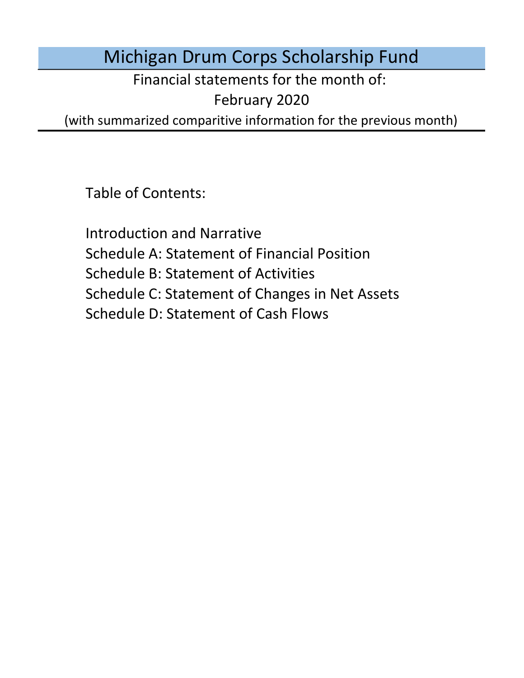# Michigan Drum Corps Scholarship Fund

Financial statements for the month of:

February 2020

(with summarized comparitive information for the previous month)

Table of Contents:

Schedule D: Statement of Cash Flows Introduction and Narrative Schedule A: Statement of Financial Position Schedule B: Statement of Activities Schedule C: Statement of Changes in Net Assets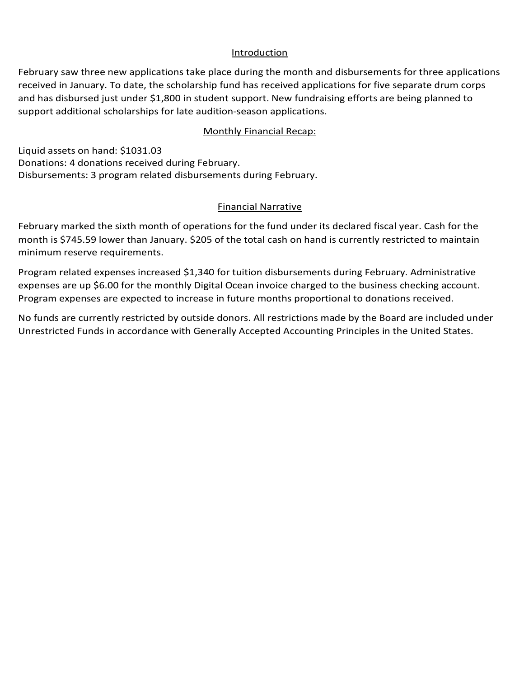### Introduction

Introduction<br>February saw three new applications take place during the month and disbursements for three applications received in January. To date, the scholarship fund has received applications for five separate drum corps and has disbursed just under \$1,800 in student support. New fundraising efforts are being planned to support additional scholarships for late audition-season applications.

### Monthly Financial Recap: Monthly

Liquid assets on hand: \$1031.03 Liquid assets on hand: \$1031.03<br>Donations: 4 donations received during February. Disbursements: 3 program related disbursements during February.

### Financial Narrative

Einancial Narrative<br>February marked the sixth month of operations for the fund under its declared fiscal year. Cash for the month is \$745.59 lower than January. \$205 of the total cash on hand is currently restricted to maintain minimum reserve requirements.

Program related expenses increased \$1,340 for tuition disbursements during February. Administrative expenses are up \$6.00 for the monthly Digital Ocean invoice charged to the business checking account. Program expenses are expected to increase in future months proportional to donations received.

No funds are currently restricted by outside donors. All restrictions made by the Board are included under Unrestricted Funds in accordance with Generally Accepted Accounting Principles in the United States.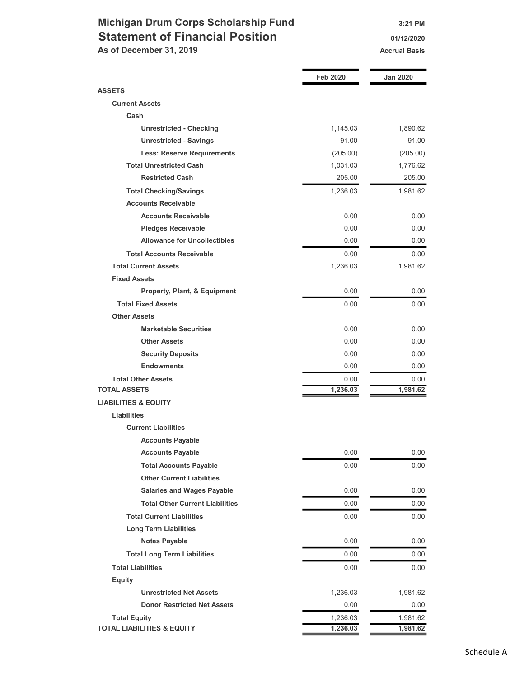## Michigan Drum Corps Scholarship Fund 3:21 PM Statement of Financial Position 01/12/2020

As of December 31, 2019 Accrual Basis

|                                                                  | <b>Feb 2020</b> | Jan 2020 |
|------------------------------------------------------------------|-----------------|----------|
|                                                                  |                 |          |
| <b>ASSETS</b><br><b>Current Assets</b>                           |                 |          |
| Cash                                                             |                 |          |
| <b>Unrestricted - Checking</b>                                   | 1,145.03        | 1,890.62 |
| <b>Unrestricted - Savings</b>                                    | 91.00           | 91.00    |
| <b>Less: Reserve Requirements</b>                                | (205.00)        | (205.00) |
| <b>Total Unrestricted Cash</b>                                   | 1,031.03        | 1,776.62 |
| <b>Restricted Cash</b>                                           | 205.00          | 205.00   |
|                                                                  |                 | 1,981.62 |
| <b>Total Checking/Savings</b><br><b>Accounts Receivable</b>      | 1,236.03        |          |
| <b>Accounts Receivable</b>                                       | 0.00            | 0.00     |
|                                                                  | 0.00            | 0.00     |
| <b>Pledges Receivable</b><br><b>Allowance for Uncollectibles</b> |                 |          |
|                                                                  | 0.00            | 0.00     |
| <b>Total Accounts Receivable</b>                                 | 0.00            | 0.00     |
| <b>Total Current Assets</b>                                      | 1,236.03        | 1,981.62 |
| <b>Fixed Assets</b>                                              |                 |          |
| Property, Plant, & Equipment                                     | 0.00            | 0.00     |
| <b>Total Fixed Assets</b>                                        | 0.00            | 0.00     |
| <b>Other Assets</b>                                              |                 |          |
| <b>Marketable Securities</b>                                     | 0.00            | 0.00     |
| <b>Other Assets</b>                                              | 0.00            | 0.00     |
| <b>Security Deposits</b>                                         | 0.00            | 0.00     |
| <b>Endowments</b>                                                | 0.00            | 0.00     |
| <b>Total Other Assets</b>                                        | 0.00            | 0.00     |
| <b>TOTAL ASSETS</b>                                              | 1,236.03        | 1,981.62 |
| <b>LIABILITIES &amp; EQUITY</b>                                  |                 |          |
| Liabilities                                                      |                 |          |
| <b>Current Liabilities</b>                                       |                 |          |
| <b>Accounts Payable</b>                                          |                 |          |
| <b>Accounts Payable</b>                                          | 0.00            | 0.00     |
| <b>Total Accounts Payable</b>                                    | 0.00            | 0.00     |
| <b>Other Current Liabilities</b>                                 |                 |          |
| <b>Salaries and Wages Payable</b>                                | 0.00            | 0.00     |
| <b>Total Other Current Liabilities</b>                           | 0.00            | 0.00     |
| <b>Total Current Liabilities</b>                                 | 0.00            | 0.00     |
| <b>Long Term Liabilities</b>                                     |                 |          |
| <b>Notes Payable</b>                                             | 0.00            | 0.00     |
| <b>Total Long Term Liabilities</b>                               | 0.00            | $0.00\,$ |
| <b>Total Liabilities</b>                                         | 0.00            | 0.00     |
| <b>Equity</b>                                                    |                 |          |
| <b>Unrestricted Net Assets</b>                                   | 1,236.03        | 1,981.62 |
| <b>Donor Restricted Net Assets</b>                               | 0.00            | 0.00     |
| <b>Total Equity</b>                                              | 1,236.03        | 1,981.62 |
| <b>TOTAL LIABILITIES &amp; EQUITY</b>                            | 1,236.03        | 1,981.62 |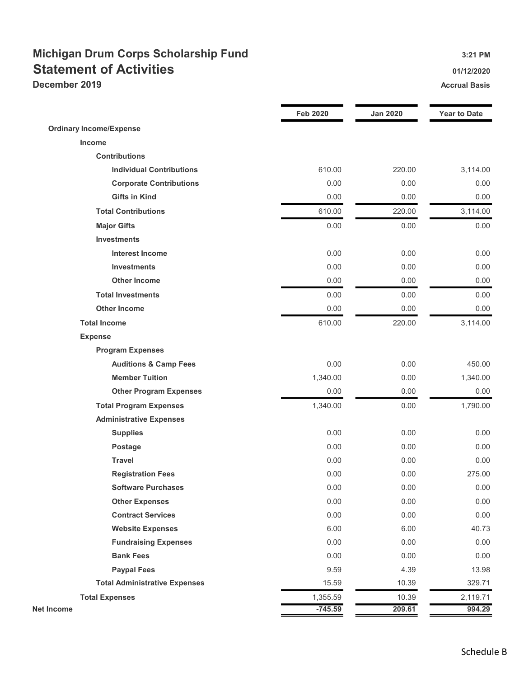## Michigan Drum Corps Scholarship Fund 3:21 PM Statement of Activities **Statement of Activities Contract Contract Contract Contract Contract Contract Contract Contract Contract Contract Contract Contract Contract Contract Contract Contract Contract Contract Contract**

**December 2019** Accrual Basis **Accrual Basis** Accrual Basis **Accrual Basis** 

|                                      | <b>Feb 2020</b> | <b>Jan 2020</b> | <b>Year to Date</b> |
|--------------------------------------|-----------------|-----------------|---------------------|
| <b>Ordinary Income/Expense</b>       |                 |                 |                     |
| Income                               |                 |                 |                     |
| <b>Contributions</b>                 |                 |                 |                     |
| <b>Individual Contributions</b>      | 610.00          | 220.00          | 3,114.00            |
| <b>Corporate Contributions</b>       | 0.00            | 0.00            | 0.00                |
| <b>Gifts in Kind</b>                 | 0.00            | 0.00            | 0.00                |
| <b>Total Contributions</b>           | 610.00          | 220.00          | 3,114.00            |
| <b>Major Gifts</b>                   | 0.00            | 0.00            | 0.00                |
| <b>Investments</b>                   |                 |                 |                     |
| <b>Interest Income</b>               | 0.00            | 0.00            | 0.00                |
| <b>Investments</b>                   | 0.00            | 0.00            | 0.00                |
| <b>Other Income</b>                  | 0.00            | 0.00            | 0.00                |
| <b>Total Investments</b>             | 0.00            | 0.00            | 0.00                |
| <b>Other Income</b>                  | 0.00            | 0.00            | 0.00                |
| <b>Total Income</b>                  | 610.00          | 220.00          | 3,114.00            |
| <b>Expense</b>                       |                 |                 |                     |
| <b>Program Expenses</b>              |                 |                 |                     |
| <b>Auditions &amp; Camp Fees</b>     | 0.00            | 0.00            | 450.00              |
| <b>Member Tuition</b>                | 1,340.00        | 0.00            | 1,340.00            |
| <b>Other Program Expenses</b>        | 0.00            | 0.00            | 0.00                |
| <b>Total Program Expenses</b>        | 1,340.00        | 0.00            | 1,790.00            |
| <b>Administrative Expenses</b>       |                 |                 |                     |
| <b>Supplies</b>                      | 0.00            | 0.00            | 0.00                |
| Postage                              | 0.00            | 0.00            | 0.00                |
| <b>Travel</b>                        | 0.00            | 0.00            | 0.00                |
| <b>Registration Fees</b>             | 0.00            | 0.00            | 275.00              |
| <b>Software Purchases</b>            | 0.00            | 0.00            | 0.00                |
| <b>Other Expenses</b>                | 0.00            | 0.00            | 0.00                |
| <b>Contract Services</b>             | 0.00            | 0.00            | 0.00                |
| <b>Website Expenses</b>              | 6.00            | 6.00            | 40.73               |
| <b>Fundraising Expenses</b>          | 0.00            | 0.00            | 0.00                |
| <b>Bank Fees</b>                     | 0.00            | 0.00            | 0.00                |
| <b>Paypal Fees</b>                   | 9.59            | 4.39            | 13.98               |
| <b>Total Administrative Expenses</b> | 15.59           | 10.39           | 329.71              |
| <b>Total Expenses</b>                | 1,355.59        | 10.39           | 2,119.71            |
| <b>Net Income</b>                    | $-745.59$       | 209.61          | 994.29              |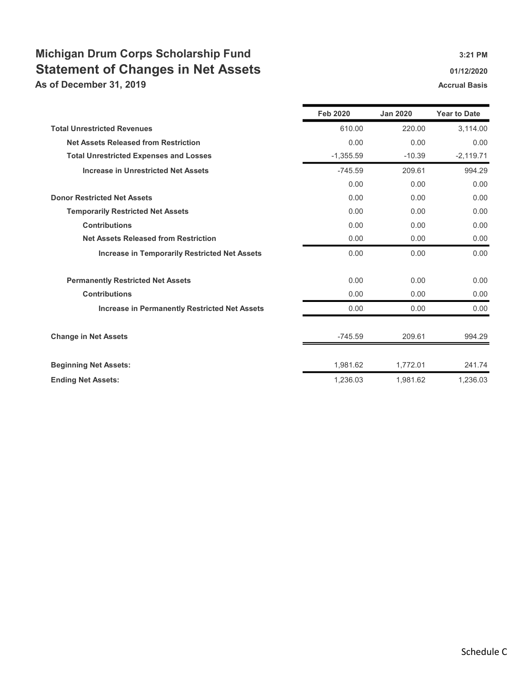## Michigan Drum Corps Scholarship Fund 3:21 PM Statement of Changes in Net Assets 61/12/2020 01/12/2020

As of December 31, 2019 **Accrual Basis** Accrual Basis Accrual Basis

|                                                      | <b>Feb 2020</b> | <b>Jan 2020</b> | <b>Year to Date</b> |
|------------------------------------------------------|-----------------|-----------------|---------------------|
| <b>Total Unrestricted Revenues</b>                   | 610.00          | 220.00          | 3,114.00            |
| <b>Net Assets Released from Restriction</b>          | 0.00            | 0.00            | 0.00                |
| <b>Total Unrestricted Expenses and Losses</b>        | $-1,355.59$     | $-10.39$        | $-2,119.71$         |
| <b>Increase in Unrestricted Net Assets</b>           | $-745.59$       | 209.61          | 994.29              |
|                                                      | 0.00            | 0.00            | 0.00                |
| <b>Donor Restricted Net Assets</b>                   | 0.00            | 0.00            | 0.00                |
| <b>Temporarily Restricted Net Assets</b>             | 0.00            | 0.00            | 0.00                |
| <b>Contributions</b>                                 | 0.00            | 0.00            | 0.00                |
| <b>Net Assets Released from Restriction</b>          | 0.00            | 0.00            | 0.00                |
| <b>Increase in Temporarily Restricted Net Assets</b> | 0.00            | 0.00            | 0.00                |
| <b>Permanently Restricted Net Assets</b>             | 0.00            | 0.00            | 0.00                |
| <b>Contributions</b>                                 | 0.00            | 0.00            | 0.00                |
| <b>Increase in Permanently Restricted Net Assets</b> | 0.00            | 0.00            | 0.00                |
| <b>Change in Net Assets</b>                          | -745.59         | 209.61          | 994.29              |
| <b>Beginning Net Assets:</b>                         | 1,981.62        | 1,772.01        | 241.74              |
| <b>Ending Net Assets:</b>                            | 1,236.03        | 1,981.62        | 1,236.03            |